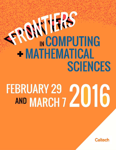## **ERS IN HASSES** + MATHEMATICAL **SCIENCES**

# FEBRUARY 29 2016

**Caltech**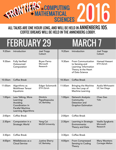

#### ALL TALKS ARE ONE HOUR LONG, AND WILL BE HELD IN ANNENBERG 105. COFFEE BREAKS WILL BE HELD IN THE ANNENBERG LOBBY.

### FEBRUARY 29 MARCH 7

| $9:20$ am          | Introduction                                                                                                     | Joel Tropp<br>Caltech                                   | 9:20am             | Introduction                                                                                                   | Joel Tropp<br>Caltech                      |
|--------------------|------------------------------------------------------------------------------------------------------------------|---------------------------------------------------------|--------------------|----------------------------------------------------------------------------------------------------------------|--------------------------------------------|
| 9:30am             | <b>Fully Verified</b><br>Outsourced<br>Computation                                                               | <b>Bryan Parno</b><br>Microsoft<br>Research             | 9:30am             | <b>From Communication</b><br>to Sensing and<br>Learning: Information<br>Theory at the Heart<br>of Data Science | Hamed Hassani<br>ETH Zürich                |
| 10:30am            | <b>Coffee Break</b>                                                                                              |                                                         | 10:30am            | <b>Coffee Break</b>                                                                                            |                                            |
| 11:00am            | Algorithms as<br><b>Multilinear Tensor</b><br>Equations                                                          | Edgar Solomonik<br>ETH Zürich                           | 11:00am            | <b>Bringing the Machine</b><br>into the Loop of<br>Machine Learning                                            | Azalia Mirhoseini<br><b>UC San Diego</b>   |
| 1:00 <sub>pm</sub> | Less Talking, More<br>Learning:<br>Avoiding<br>Coordination In<br><b>Parallel Machine</b><br>Learning Algorithms | <b>Dimitris</b><br>Papailiopoulos<br><b>UC Berkeley</b> | 1:00 <sub>pm</sub> | Network Analysis:<br>Community<br>Detection and<br><b>Graphon Estimation</b>                                   | Chao Gao<br>Yale                           |
| 2:00 <sub>pm</sub> | <b>Coffee Break</b>                                                                                              |                                                         | 2:00pm             | <b>Coffee Break</b>                                                                                            |                                            |
| 2:30 <sub>pm</sub> | Computation in a<br><b>Strategic World</b>                                                                       | Yang Cai<br><b>McGill University</b>                    | 2:30 <sub>pm</sub> | Learning in Strategic<br>Environments:<br>Theory and Data                                                      | Vasilis Syrgkanis<br>Microsoft<br>Research |
| 3:30 <sub>pm</sub> | <b>Coffee Break</b>                                                                                              |                                                         | 3:30 <sub>pm</sub> | <b>Coffee Break</b>                                                                                            |                                            |
| 4:00pm             | Middleboxes as a<br><b>Cloud Service</b>                                                                         | <b>Justine Sherry</b><br><b>UC Berkeley</b>             | 4:00pm             | <b>From Compressed</b><br><b>Sensing to Coding</b><br>Theory                                                   | <b>Mary Wootters</b><br>Carnegie Mellon    |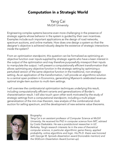#### Computation in a Strategic World

Yang Cai McGill University

Engineering complex systems become even more challenging in the presence of strategic agents whose behavior in the system is guided by their own incentives. Examples include such important applications as the design of road networks, spectrum auctions, and online markets. How does one design a system so that the designer's objective is achieved robustly despite the existence of strategic interactions inside the system?

From an optimization standpoint, this question can be formalized as optimizing an objective function over inputs supplied by strategic agents who have a keen interest in the output of the optimization and may therefore purposefully misreport their inputs to manipulate the output. I will present a computationally efficient transformation that allows optimizing any objective function in the strategic setting by optimizing a perturbed version of the same objective function in the traditional, non-strategic setting. As an application of the transformation, I will provide an algorithmic solution to a central open problem in Economics, generalizing Myerson's celebrated revenueoptimal single-item auction to multi-item settings.

I will overview the combinatorial optimization techniques underlying this result, including computationally efficient variants and generalizations of Border's characterization result. I will also touch upon other work motivated by the study of strategic settings from a computational standpoint, including a multi-player generalization of the min-max theorem, new analysis of the combinatorial clock auction for selling spectrum, and the development of new extreme value theorems.



#### Biography:

*Yang Cai is an assistant professor of Computer Science at McGill University. He received his PhD in computer science from MIT, advised by Costis Daskalakis. He was a postdoctoral researcher in UC Berkeley. Yang's research interests lie in the area of theoretical computer science, in particular algorithmic game theory, applied probability, online algorithms and logic. His Ph.D. thesis was honored with George M. Sprowls dissertation award (honorable mention) and the SIGEcom Dissertation Award (runner-up).*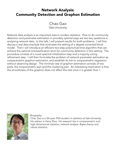#### Network Analysis: Community Detection and Graphon Estimation

Chao Gao Yale University

Network data analysis is an important area in modern statistics. How to do community detection and parameter estimation in provably optimal ways are two key questions in analyzing network data. In this talk, I will present results for both problems. I will first discuss a real data example that motivates the setting of a degree corrected block model. Then I will introduce an efficient two-step polynomial-time algorithm that can achieve the optimal misclassification error for community detection in this setting. The procedure consists of a novel spectral initialization step and a majority voting refinement step. I will then formulate the problem of network parameter estimation as nonparametric graphon estimation, and establish its link to nonparametric regression without observing design. The minimax rate of graphon estimation consists of two parts: the nonparametric part and the clustering part. An interesting implication is that the smoothness of the graphon does not affect the rate once it is greater than 1.



Biography:

*Chao Gao is a 5th-year PhD student in statistics at Yale University. His advisor is Harry Zhou. His research lies in nonparametric and high-dimensional statistics, network analysis, Bayes theory and robust statistics.*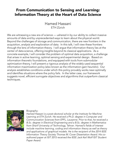#### From Communication to Sensing and Learning: Information Theory at the Heart of Data Science

Hamed Hassani ETH Zürich

We are witnessing a new era of science — ushered in by our ability to collect massive amounts of data and by unprecedented ways to learn about the physical world. Beyond the challenges of storage and communication, there are new frontiers in the acquisition, analysis and exploration of data. In this talk, I will view these frontiers through the lens of information theory. I will argue that information theory lies at the center of data science, offering insights beyond its classical applications. As a concrete example, I will consider the problem of optimal data acquisition, a challenge that arises in active learning, optimal sensing and experimental design. Based on information theoretic foundations, and equipped with tools from submodular optimization theory, I will present a rigorous analysis of the widely-used sequential information maximization policy (also known as the information-gain heuristic). Our analysis establishes conditions under which this policy provably works near-optimally and identifies situations where the policy fails. In the latter case, our framework suggests novel, efficient surrogate objectives and algorithms that outperform classical techniques.



#### Biography:

*Hamed Hassani is a post-doctoral scholar at the Institute for Machine Learning at ETH Zurich. He received a Ph.D. degree in Computer and Communication Sciences from EPFL, Lausanne. Prior to that, he received a B.Sc. degree in Electrical Engineering and a B.Sc. degree in Mathematics from Sharif University of Technology, Tehran. Hamed's fields of interest include machine learning, coding and information theory as well as theory and applications of graphical models. He is the recipient of the 2014 IEEE Information Theory Society Thomas M. Cover Dissertation Award. His coauthored paper at ISIT 2015 received the IEEE Jack Keil Wolf ISIT Student Paper Award.*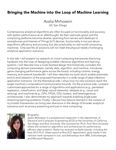#### Bringing the Machine into the Loop of Machine Learning

Azalia Mirhoseini UC San Diego

Contemporary analytical algorithms are often focused on functionality and accuracy with system performance as an afterthought. As their use/scale grows and the computing platforms become diverse, spanning from servers and desktops to smartphones and Internet of Things (IoT) devices, functionality is not just about algorithmic efficiency and accuracy, but also practicality on real-world computing machines. One-size fits all solutions will not meet the physical needs of emerging analytical application scenarios.

In this talk, I will present my research on novel computing frameworks that bring hardware into the loop of designing scalable inference algorithms and learning systems. I will describe how a multi-faceted design that holistically considers the computing domain parameters, namely data, algorithm, and machine, introduces game changing performance gains across the board, including runtime, energy, memory, and network bandwidth. I will then describe my tools which enable automatic end-to-end adoption of the proposed frameworks in a wide range of data inference application scenarios. On the theoretical side, I show how my new solutions reach the target machine's computation/communication bounds. On the practical side, I present customized approaches for a range of algorithms and applications (e.g., penalized regression, classification, and deep neural networks), datasets (e.g., visual and sensing), and machines (e.g., GPU, FPGA, CPU clusters, and heterogeneous architectures). I also demonstrate my approach towards enabling single-pass streaming learning problems. Finally, I discuss how lessons learned in the context of my holistic frameworks can bring new directions in the design of broader analytical scenarios such as privacy preserving and just-in-time computing.



#### Biography:

*Azalia Mirhoseini is a postdoctoral researcher in the department of Electrical and Computer Engineering (ECE) at the University of California, San Diego and Rice University. She received her Ph.D. from Rice University where she worked on algorithms and architectures for performance efficient data analytics. Azalia has received multiple awards, including the best 2015 Ph.D. thesis award at Rice ECE department, gold medal in the national math olympiad in Iran, and fellowships from IBM, Schlumberger, and Microsoft Research.*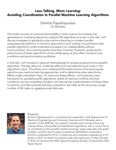#### Less Talking, More Learning: Avoiding Coordination In Parallel Machine Learning Algorithms

#### Dimitris Papailiopoulos UC Berkeley

The recent success of machine learning (ML) in both science and industry has generated an increasing demand to support ML algorithms at scale. In this talk, I will discuss strategies to gracefully scale machine learning on modern parallel computational platforms. A common approach to such scaling is coordination-free parallel algorithms, where individual processors run independently without communication, thus maximizing the time they compute. However, analyzing the performance of these algorithms can be challenging, as they often introduce race conditions and synchronization problems.

In this talk, I will introduce a general methodology for analyzing asynchronous parallel algorithms. The key idea is to model the effects of core asynchrony as noise in the algorithmic input. This allows us to understand the performance of several popular asynchronous machine learning approaches, and to determine when asynchrony effects might overwhelm them. To overcome these effects, I will propose a new framework for parallelizing ML algorithms, where all memory conflicts and race conditions can be completely avoided. I will discuss the implementation of these ideas in practice, and demonstrate that they outperform the state-of-the-art across a large number of ML tasks on gigabyte-scale data sets.



#### Biography:

*Dimitris Papailiopoulos is a postdoctoral researcher in the Department of Electrical Engineering and Computer Sciences at UC Berkeley and a member of the AMPLab. His research interests span machine learning, coding theory, and parallel and distributed algorithms, with a current focus on coordination-free parallel machine learning, large-scale data and graph analytics, and the use of codes to speed up distributed computation. Dimitris completed his Ph.D. in electrical and computer engineering at UT Austin in 2014. At Austin he worked under the supervision of Alex Dimakis. In 2015, he received the IEEE Signal Processing Society, Young Author Best Paper Award.*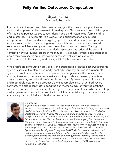#### Fully Verified Outsourced Computation

Bryan Parno Microsoft Research

Frequent headline-grabbing data breaches suggest that current best practices for safeguarding personal data are woefully inadequate. To try to move beyond the cycle of attacks and patches we see today, I design and build systems with formal end-toend guarantees. For example, to provide strong guarantees for outsourced computations, I developed a new cryptographic framework, verifiable computation, which allows clients to outsource general computations to completely untrusted services and efficiently verify the correctness of each returned result. Through improvements to the theory and the underlying systems, we reduced the costs of verification by over twenty orders of magnitude. As a result, verifiable computation is now a thriving research area that has produced several startups, as well as enhancements to the security and privacy of X.509, MapReduce, and Bitcoin.

While verifiable computation provides strong guarantees, even the best cryptographic system is useless if implemented badly, applied incorrectly, or used in a vulnerable system. Thus, I have led a team of researchers and engineers in the Ironclad project, working to expand formal software verification to provide end-to-end guarantees about the security and reliability of complex systems. By creating a set of new tools and methodologies, Ironclad produced the first complete stack of verified-secure software. We also recently developed the first methodology for verifying both the safety and liveness of complex distributed systems implementations. While interesting challenges remain, I expect that verification will fundamentally improve the software that underpins our digital and physical infrastructure.



#### Biography:

*Bryan Parno is a Researcher in the Security and Privacy Group at Microsoft Research. After receiving a Bachelor's degree from Harvard College, he completed his PhD at Carnegie Mellon University, where his dissertation won the 2010 ACM Doctoral Dissertation Award. He formalized and worked to optimize verifiable computation, receiving a Best Paper Award at the IEEE Symposium on Security and Privacy his advances. He coauthored a book on Bootstrapping Trust in Modern Computers, and his work in that area has been incorporated into the latest security enhancements in Intel CPUs. His research into security for new application models was incorporated into Windows and received a Best Paper Awards at the IEEE Symposium on Security and Privacy and the USENIX Symposium on Networked Systems Design and Implementation. He has recently extended his interest in bootstrapping trust to the problem of building practical, formally verified secure systems. His other research interests include user authentication, secure network protocols, and security in constrained environments (e.g., RFID tags, sensor networks, or vehicles).*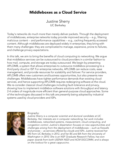#### Middleboxes as a Cloud Service

Justine Sherry UC Berkeley

Today's networks do much more than merely deliver packets. Through the deployment of middleboxes, enterprise networks today provide improved security -- e.g., filtering malicious content -- and performance capabilities -- e.g., caching frequently accessed content. Although middleboxes are deployed widely in enterprises, they bring with them many challenges: they are complicated to manage, expensive, prone to failures, and challenge privacy expectations.

In this talk, we aim to bring the benefits of cloud computing to networking. We argue that middlebox services can be outsourced to cloud providers in a similar fashion to how mail, compute, and storage are today outsourced. We begin by presenting APLOMB, a system that allows enterprises to outsource middlebox processing to a third party cloud or ISP. For enterprise networks, APLOMB can reduce costs, ease management, and provide resources for scalability and failover. For service providers, APLOMB offers new customers and business opportunities, but also presents new challenges. Middleboxes have tighter performance demands than existing cloud services, and hence supporting APLOMB requires redesigning software at the cloud. We re-consider classical cloud challenges including fault-tolerance and privacy, showing how to implement middlebox software solutions with throughput and latency 2-4 orders of magnitude more efficient than general-purpose cloud approaches. Some of the technologies discussed in this talk are presently being adopted by industrial systems used by cloud providers and ISPs.



Biography:

*Justine Sherry is a computer scientist and doctoral candidate at UC Berkeley. Her interests are in computer networking; her work includes middleboxes, networked systems, measurement, cloud computing, and congestion control. Justine's dissertation focuses on new opportunities and challenges arising from the deployment of middleboxes -- such as firewalls and proxies -- as services offered by clouds and ISPs. Justine received her MS from UC Berkeley in 2012, and her BS and BA from the University of Washington in 2010. She is an NSF Graduate Research Fellow, has won paper awards from both USENIX NSDI and ACM SIGCOMM, and is always on the lookout for a great cappuccino.*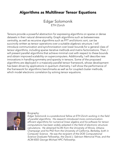#### Algorithms as Multilinear Tensor Equations

Edgar Solomonik ETH Zürich

Tensors provide a powerful abstraction for expressing algorithms on sparse or dense datasets in their natural dimensionality. Graph algorithms such as betweenness centrality, as well as recursive algorithms such as FFT and bitonic sort, can be succinctly written as tensor operations over a suitable algebraic structure. I will introduce communication and synchronization cost lower bounds for a general class of tensor algorithms, including sparse iterative methods and matrix factorizations. Then, I will present parallel algorithms that achieve minimal cost with respect to these bounds and obtain improved scalability on supercomputers. Additionally, I will describe new innovations in handling symmetry and sparsity in tensors. Some of the proposed algorithms are deployed in a massively-parallel tensor framework, whose development has been driven by applications in quantum chemistry. I will show the performance of the framework for algorithmic benchmarks as well as for coupled cluster methods, which model electronic correlation by solving tensor equations.



Biography:

*Edgar Solomonik is a postdoctoral fellow at ETH Zürich working in the field of parallel algorithms. His research introduced more communicationefficient algorithms for numerical linear algebra and his software for tensor computations has been widely adopted in the field of electronic structure calculations. He obtained his BS from the University of Illinois, Urbana-Champaign and his PhD from the University of California, Berkeley, both in Computer Science. He was the recipient of the DOE Computational Science Graduate Fellowship, the David J. Sakrison Memorial Prize, and the ACM-IEEE George Michael HPC Fellowship.*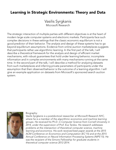#### Learning in Strategic Environments: Theory and Data

Vasilis Syrgkanis Microsoft Research

The strategic interaction of multiple parties with different objectives is at the heart of modern large scale computer systems and electronic markets. Participants face such complex decisions in these settings that the classic economic equilibrium is not a good predictor of their behavior. The analysis and design of these systems has to go beyond equilibrium assumptions. Evidence from online auction marketplaces suggests that participants rather use algorithmic learning. In the first part of the talk, I will describe a theoretical framework for the analysis and design of efficient market mechanisms, with robust guarantees that hold under learning behavior, incomplete information and in complex environments with many mechanisms running at the same time. In the second part of the talk, I will describe a method for analyzing datasets from such marketplaces and inferring private parameters of participants under the assumption that their observed behavior is the outcome of a learning algorithm. I will give an example application on datasets from Microsoft's sponsored search auction system.



Biography:

*Vasilis Syrgkanis is a postdoctoral researcher at Microsoft Research NYC,*  where he is a member of the algorithmic economics and machine learning *groups. He received his Ph.D. in Computer Science from Cornell University in 2014, under the supervision of Prof. Eva Tardos. His research addresses problems at the intersection of theoretical computer science, machine learning and economics. His work received best paper awards at the 2015 ACM Conference on Economics and Computation (EC'15) and at the 2015 Annual Conference on Neural Information Processing Systems (NIPS'15). He was the recipient of the Simons Fellowship for graduate students in theoretical computer science 2012-2014.*